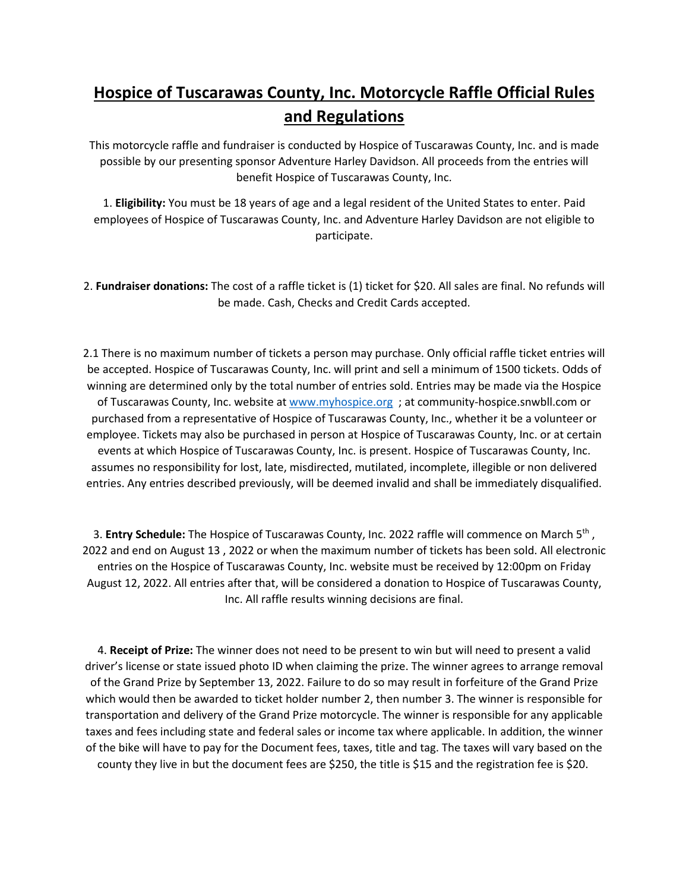## **Hospice of Tuscarawas County, Inc. Motorcycle Raffle Official Rules and Regulations**

This motorcycle raffle and fundraiser is conducted by Hospice of Tuscarawas County, Inc. and is made possible by our presenting sponsor Adventure Harley Davidson. All proceeds from the entries will benefit Hospice of Tuscarawas County, Inc.

1. **Eligibility:** You must be 18 years of age and a legal resident of the United States to enter. Paid employees of Hospice of Tuscarawas County, Inc. and Adventure Harley Davidson are not eligible to participate.

2. **Fundraiser donations:** The cost of a raffle ticket is (1) ticket for \$20. All sales are final. No refunds will be made. Cash, Checks and Credit Cards accepted.

2.1 There is no maximum number of tickets a person may purchase. Only official raffle ticket entries will be accepted. Hospice of Tuscarawas County, Inc. will print and sell a minimum of 1500 tickets. Odds of winning are determined only by the total number of entries sold. Entries may be made via the Hospice of Tuscarawas County, Inc. website at [www.myhospice.org](http://www.myhospice.org/) ; at community-hospice.snwbll.com or purchased from a representative of Hospice of Tuscarawas County, Inc., whether it be a volunteer or employee. Tickets may also be purchased in person at Hospice of Tuscarawas County, Inc. or at certain events at which Hospice of Tuscarawas County, Inc. is present. Hospice of Tuscarawas County, Inc. assumes no responsibility for lost, late, misdirected, mutilated, incomplete, illegible or non delivered entries. Any entries described previously, will be deemed invalid and shall be immediately disqualified.

3. **Entry Schedule:** The Hospice of Tuscarawas County, Inc. 2022 raffle will commence on March 5th , 2022 and end on August 13 , 2022 or when the maximum number of tickets has been sold. All electronic entries on the Hospice of Tuscarawas County, Inc. website must be received by 12:00pm on Friday August 12, 2022. All entries after that, will be considered a donation to Hospice of Tuscarawas County, Inc. All raffle results winning decisions are final.

4. **Receipt of Prize:** The winner does not need to be present to win but will need to present a valid driver's license or state issued photo ID when claiming the prize. The winner agrees to arrange removal of the Grand Prize by September 13, 2022. Failure to do so may result in forfeiture of the Grand Prize which would then be awarded to ticket holder number 2, then number 3. The winner is responsible for transportation and delivery of the Grand Prize motorcycle. The winner is responsible for any applicable taxes and fees including state and federal sales or income tax where applicable. In addition, the winner of the bike will have to pay for the Document fees, taxes, title and tag. The taxes will vary based on the county they live in but the document fees are \$250, the title is \$15 and the registration fee is \$20.